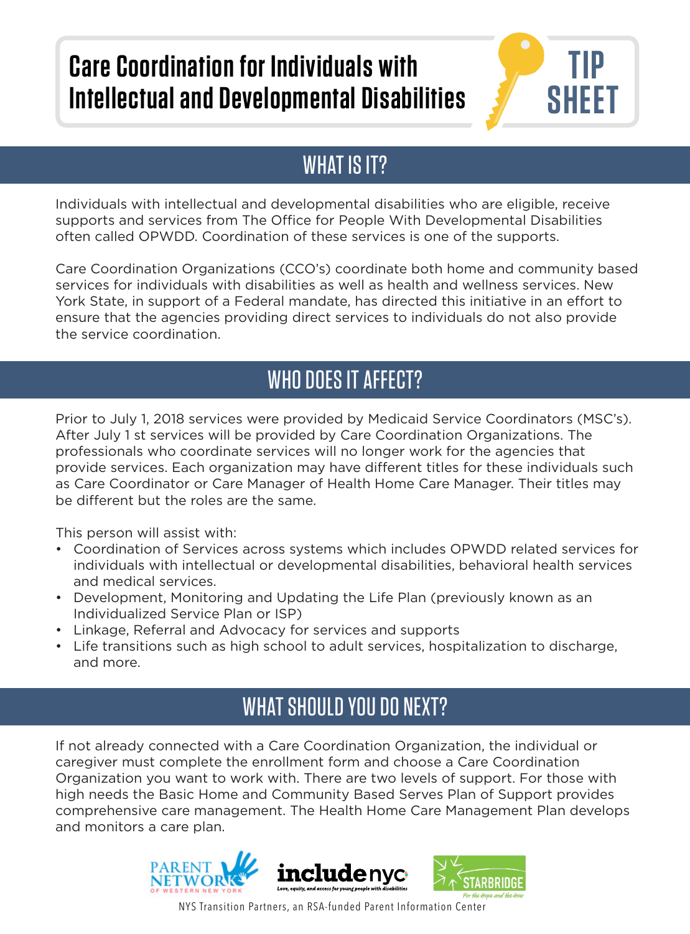# **Care Coordination for Individuals with Intellectual and Developmental Disabilities**



#### WHAT IS IT?

Individuals with intellectual and developmental disabilities who are eligible, receive supports and services from The Office for People With Developmental Disabilities often called OPWDD. Coordination of these services is one of the supports.

Care Coordination Organizations (CCO's) coordinate both home and community based services for individuals with disabilities as well as health and wellness services. New York State, in support of a Federal mandate, has directed this initiative in an effort to ensure that the agencies providing direct services to individuals do not also provide the service coordination.

#### WHO DOES IT AFFECT?

Prior to July 1, 2018 services were provided by Medicaid Service Coordinators (MSC's). After July 1 st services will be provided by Care Coordination Organizations. The professionals who coordinate services will no longer work for the agencies that provide services. Each organization may have different titles for these individuals such as Care Coordinator or Care Manager of Health Home Care Manager. Their titles may be different but the roles are the same.

This person will assist with:

- Coordination of Services across systems which includes OPWDD related services for individuals with intellectual or developmental disabilities, behavioral health services and medical services.
- Development, Monitoring and Updating the Life Plan (previously known as an Individualized Service Plan or ISP)
- Linkage, Referral and Advocacy for services and supports
- Life transitions such as high school to adult services, hospitalization to discharge, and more.

### WHAT SHOULD YOU DO NEXT?

If not already connected with a Care Coordination Organization, the individual or caregiver must complete the enrollment form and choose a Care Coordination Organization you want to work with. There are two levels of support. For those with high needs the Basic Home and Community Based Serves Plan of Support provides comprehensive care management. The Health Home Care Management Plan develops and monitors a care plan.





NYS Transition Partners, an RSA-funded Parent Information Center